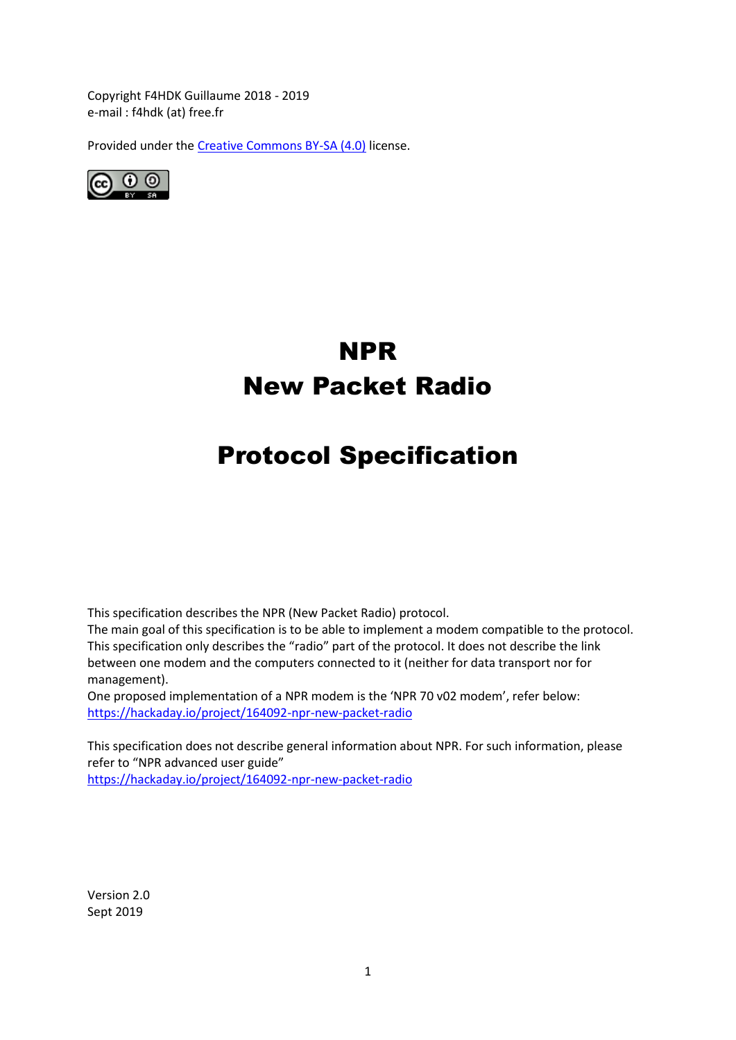Copyright F4HDK Guillaume 2018 - 2019 e-mail : f4hdk (at) free.fr

Provided under th[e Creative Commons BY-SA \(4.0\)](https://creativecommons.org/licenses/by-sa/4.0/legalcode) license.



# NPR New Packet Radio

# Protocol Specification

This specification describes the NPR (New Packet Radio) protocol.

The main goal of this specification is to be able to implement a modem compatible to the protocol. This specification only describes the "radio" part of the protocol. It does not describe the link between one modem and the computers connected to it (neither for data transport nor for management).

One proposed implementation of a NPR modem is the 'NPR 70 v02 modem', refer below: <https://hackaday.io/project/164092-npr-new-packet-radio>

This specification does not describe general information about NPR. For such information, please refer to "NPR advanced user guide" <https://hackaday.io/project/164092-npr-new-packet-radio>

Version 2.0 Sept 2019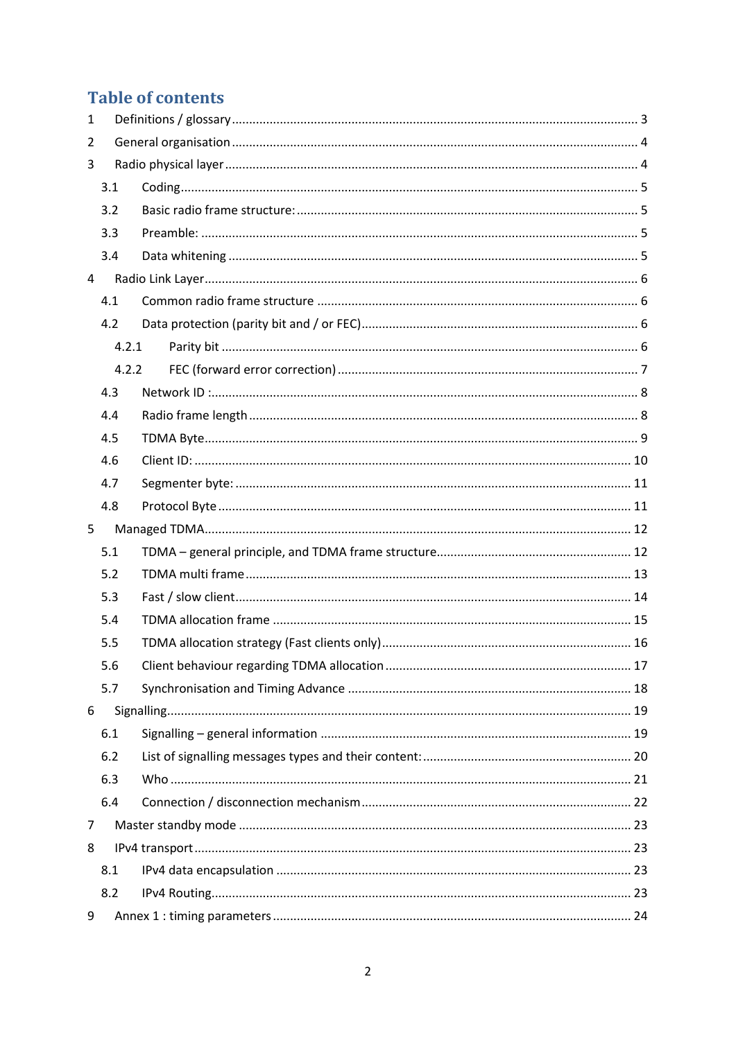# **Table of contents**

| 1 |       |  |
|---|-------|--|
| 2 |       |  |
| 3 |       |  |
|   | 3.1   |  |
|   | 3.2   |  |
|   | 3.3   |  |
|   | 3.4   |  |
| 4 |       |  |
|   | 4.1   |  |
|   | 4.2   |  |
|   | 4.2.1 |  |
|   | 4.2.2 |  |
|   | 4.3   |  |
|   | 4.4   |  |
|   | 4.5   |  |
|   | 4.6   |  |
|   | 4.7   |  |
|   |       |  |
|   | 4.8   |  |
| 5 |       |  |
|   | 5.1   |  |
|   | 5.2   |  |
|   | 5.3   |  |
|   | 5.4   |  |
|   | 5.5   |  |
|   | 5.6   |  |
|   | 5.7   |  |
| 6 |       |  |
|   | 6.1   |  |
|   | 6.2   |  |
|   | 6.3   |  |
|   | 6.4   |  |
| 7 |       |  |
| 8 |       |  |
|   | 8.1   |  |
|   | 8.2   |  |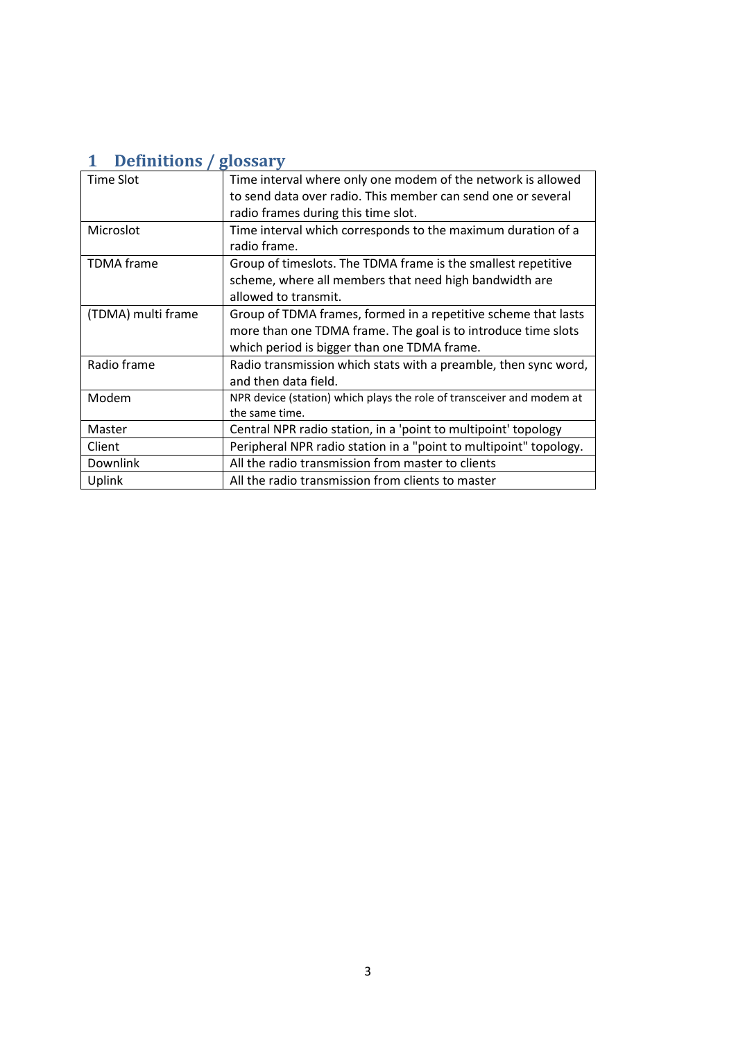# <span id="page-2-0"></span>**1 Definitions / glossary**

| Time Slot          | Time interval where only one modem of the network is allowed          |
|--------------------|-----------------------------------------------------------------------|
|                    | to send data over radio. This member can send one or several          |
|                    | radio frames during this time slot.                                   |
| Microslot          | Time interval which corresponds to the maximum duration of a          |
|                    | radio frame.                                                          |
| <b>TDMA</b> frame  | Group of timeslots. The TDMA frame is the smallest repetitive         |
|                    | scheme, where all members that need high bandwidth are                |
|                    | allowed to transmit.                                                  |
| (TDMA) multi frame | Group of TDMA frames, formed in a repetitive scheme that lasts        |
|                    | more than one TDMA frame. The goal is to introduce time slots         |
|                    | which period is bigger than one TDMA frame.                           |
| Radio frame        | Radio transmission which stats with a preamble, then sync word,       |
|                    | and then data field.                                                  |
| Modem              | NPR device (station) which plays the role of transceiver and modem at |
|                    | the same time.                                                        |
| Master             | Central NPR radio station, in a 'point to multipoint' topology        |
| Client             | Peripheral NPR radio station in a "point to multipoint" topology.     |
| Downlink           | All the radio transmission from master to clients                     |
| Uplink             | All the radio transmission from clients to master                     |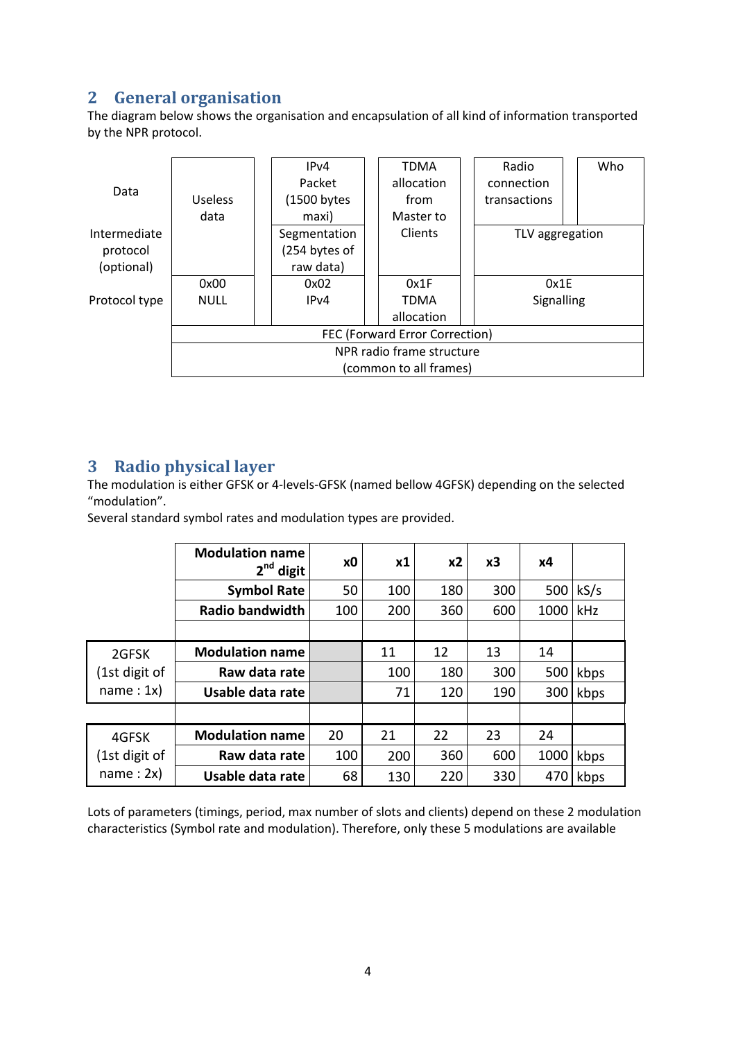# <span id="page-3-0"></span>**2 General organisation**

The diagram below shows the organisation and encapsulation of all kind of information transported by the NPR protocol.



# <span id="page-3-1"></span>**3 Radio physical layer**

The modulation is either GFSK or 4-levels-GFSK (named bellow 4GFSK) depending on the selected "modulation".

Several standard symbol rates and modulation types are provided.

|               | <b>Modulation name</b><br>$2nd$ digit | хO  | x1  | x <sub>2</sub> | x3  | х4   |      |
|---------------|---------------------------------------|-----|-----|----------------|-----|------|------|
|               | <b>Symbol Rate</b>                    | 50  | 100 | 180            | 300 | 500  | kS/s |
|               | <b>Radio bandwidth</b>                | 100 | 200 | 360            | 600 | 1000 | kHz  |
|               |                                       |     |     |                |     |      |      |
| 2GFSK         | <b>Modulation name</b>                |     | 11  | 12             | 13  | 14   |      |
| (1st digit of | Raw data rate                         |     | 100 | 180            | 300 | 500  | kbps |
| name: 1x)     | Usable data rate                      |     | 71  | 120            | 190 | 300  | kbps |
|               |                                       |     |     |                |     |      |      |
| 4GFSK         | <b>Modulation name</b>                | 20  | 21  | 22             | 23  | 24   |      |
| (1st digit of | Raw data rate                         | 100 | 200 | 360            | 600 | 1000 | kbps |
| name: 2x)     | Usable data rate                      | 68  | 130 | 220            | 330 | 470  | kbps |

Lots of parameters (timings, period, max number of slots and clients) depend on these 2 modulation characteristics (Symbol rate and modulation). Therefore, only these 5 modulations are available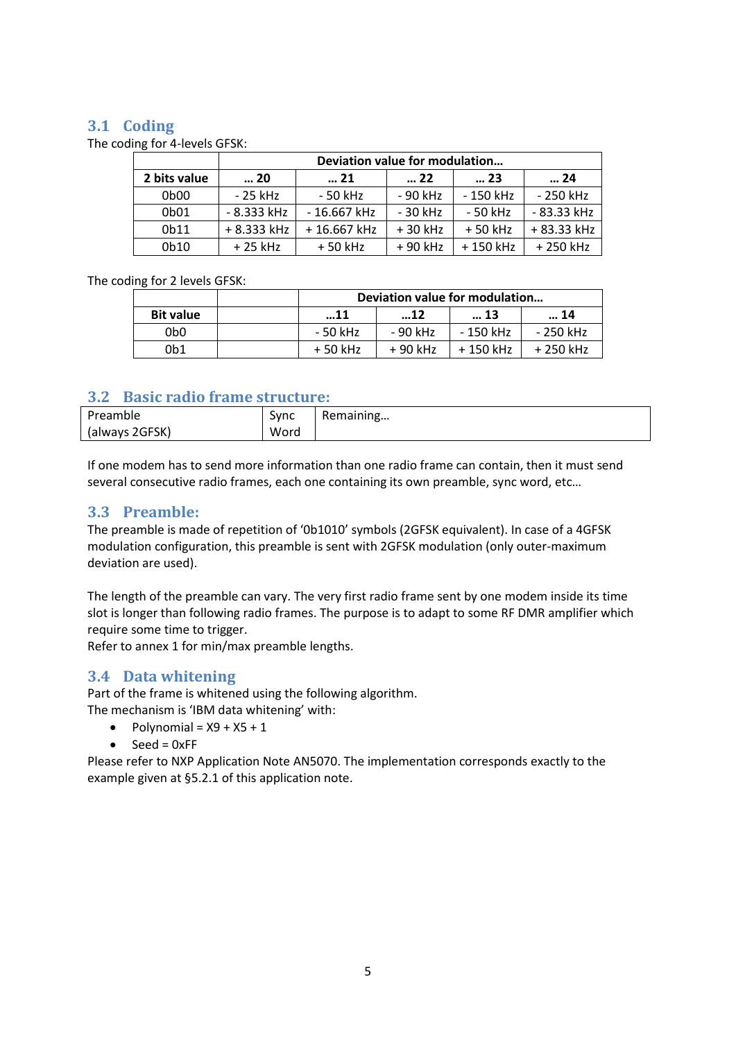#### <span id="page-4-0"></span>**3.1 Coding**

The coding for 4-levels GFSK:

|                               | Deviation value for modulation |                                      |          |           |              |  |  |  |  |
|-------------------------------|--------------------------------|--------------------------------------|----------|-----------|--------------|--|--|--|--|
| 2 bits value                  | 20                             | $\dots 22$<br>$\dots$ 21<br>23<br>24 |          |           |              |  |  |  |  |
| 0 <sub>b</sub> 0 <sub>0</sub> | - 25 kHz                       | $-50$ kHz                            | - 90 kHz | - 150 kHz | - 250 kHz    |  |  |  |  |
| 0 <sub>b</sub> 01             | $-8.333$ kHz                   | $-16.667$ kHz                        | - 30 kHz | - 50 kHz  | $-83.33$ kHz |  |  |  |  |
| 0b11                          | + 8.333 kHz                    | +16.667 kHz                          | +30 kHz  | $+50$ kHz | + 83.33 kHz  |  |  |  |  |
| 0b10                          | $+25$ kHz                      | $+50$ kHz                            | + 90 kHz | +150 kHz  | +250 kHz     |  |  |  |  |

#### The coding for 2 levels GFSK:

|                  | Deviation value for modulation |          |           |           |  |  |
|------------------|--------------------------------|----------|-----------|-----------|--|--|
| <b>Bit value</b> | 12<br>13<br>14<br>11           |          |           |           |  |  |
| 0b0              | - 50 kHz                       | - 90 kHz | - 150 kHz | - 250 kHz |  |  |
| 0b1              | $+50$ kHz                      | + 90 kHz | +150 kHz  | + 250 kHz |  |  |

#### <span id="page-4-1"></span>**3.2 Basic radio frame structure:**

| Preamble       | Sync | Remaining |
|----------------|------|-----------|
| (always 2GFSK) | Word |           |

If one modem has to send more information than one radio frame can contain, then it must send several consecutive radio frames, each one containing its own preamble, sync word, etc…

#### <span id="page-4-2"></span>**3.3 Preamble:**

The preamble is made of repetition of '0b1010' symbols (2GFSK equivalent). In case of a 4GFSK modulation configuration, this preamble is sent with 2GFSK modulation (only outer-maximum deviation are used).

The length of the preamble can vary. The very first radio frame sent by one modem inside its time slot is longer than following radio frames. The purpose is to adapt to some RF DMR amplifier which require some time to trigger.

Refer to annex 1 for min/max preamble lengths.

#### <span id="page-4-3"></span>**3.4 Data whitening**

Part of the frame is whitened using the following algorithm. The mechanism is 'IBM data whitening' with:

- $\bullet$  Polynomial =  $X9 + X5 + 1$
- $\bullet$  Seed = 0xFF

Please refer to NXP Application Note AN5070. The implementation corresponds exactly to the example given at §5.2.1 of this application note.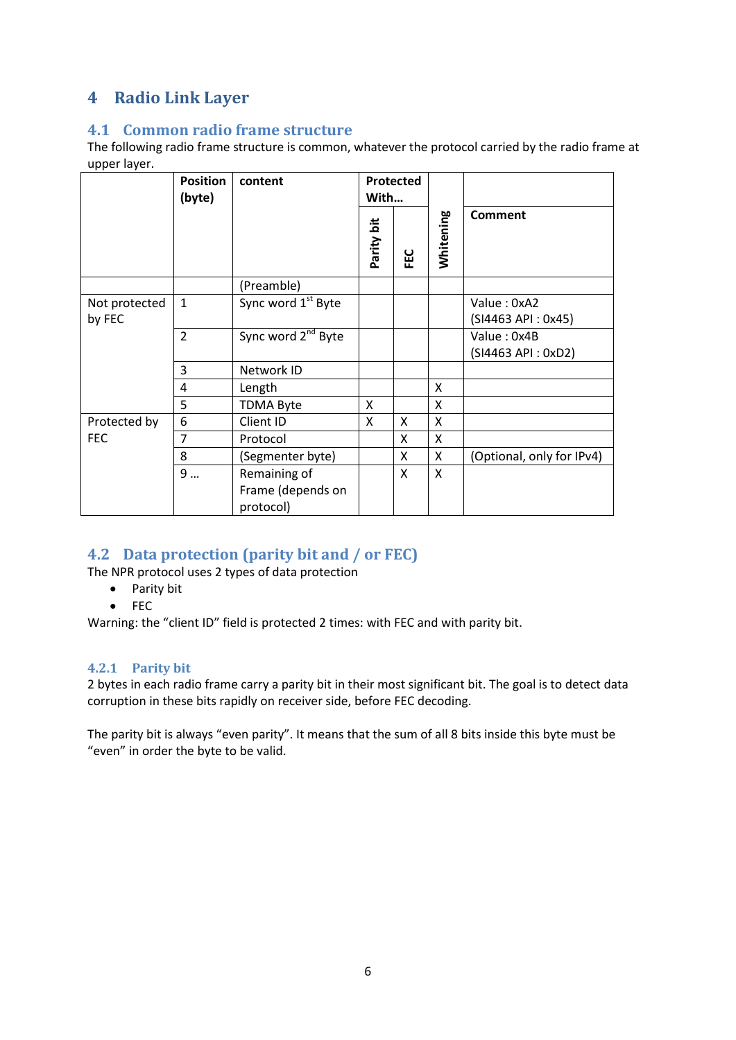# <span id="page-5-0"></span>**4 Radio Link Layer**

#### <span id="page-5-1"></span>**4.1 Common radio frame structure**

The following radio frame structure is common, whatever the protocol carried by the radio frame at upper layer.

| . .                     | <b>Position</b><br>(byte) | content                                        | With       | Protected |           |                                   |
|-------------------------|---------------------------|------------------------------------------------|------------|-----------|-----------|-----------------------------------|
|                         |                           |                                                | Parity bit | FEC       | Whitening | <b>Comment</b>                    |
|                         |                           | (Preamble)                                     |            |           |           |                                   |
| Not protected<br>by FEC | $\mathbf{1}$              | Sync word 1 <sup>st</sup> Byte                 |            |           |           | Value: 0xA2<br>(SI4463 API: 0x45) |
|                         | $\overline{2}$            | Sync word 2 <sup>nd</sup> Byte                 |            |           |           | Value: 0x4B<br>(SI4463 API: 0xD2) |
|                         | 3                         | Network ID                                     |            |           |           |                                   |
|                         | 4                         | Length                                         |            |           | X         |                                   |
|                         | 5                         | <b>TDMA Byte</b>                               | X          |           | X         |                                   |
| Protected by            | 6                         | Client ID                                      | X          | X         | X         |                                   |
| <b>FEC</b>              | 7                         | Protocol                                       |            | X         | X         |                                   |
|                         | 8                         | (Segmenter byte)                               |            | X         | X         | (Optional, only for IPv4)         |
|                         | 9                         | Remaining of<br>Frame (depends on<br>protocol) |            | X         | X         |                                   |

# <span id="page-5-2"></span>**4.2 Data protection (parity bit and / or FEC)**

The NPR protocol uses 2 types of data protection

- Parity bit
- FEC

Warning: the "client ID" field is protected 2 times: with FEC and with parity bit.

#### <span id="page-5-3"></span>**4.2.1 Parity bit**

2 bytes in each radio frame carry a parity bit in their most significant bit. The goal is to detect data corruption in these bits rapidly on receiver side, before FEC decoding.

The parity bit is always "even parity". It means that the sum of all 8 bits inside this byte must be "even" in order the byte to be valid.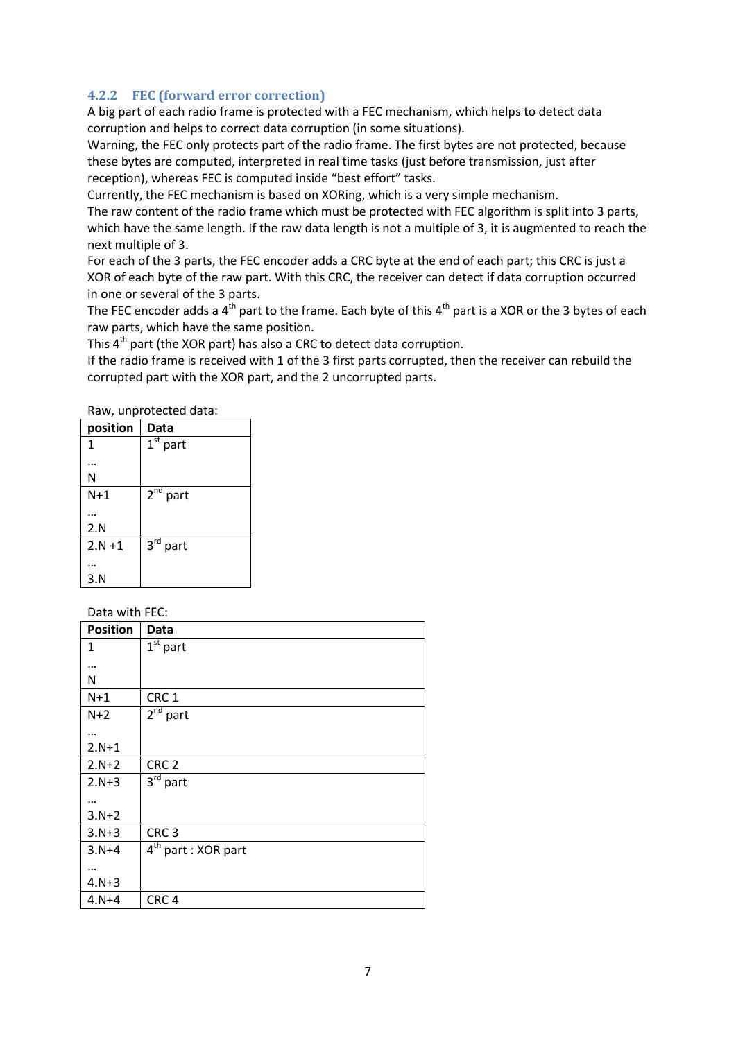#### <span id="page-6-0"></span>**4.2.2 FEC (forward error correction)**

A big part of each radio frame is protected with a FEC mechanism, which helps to detect data corruption and helps to correct data corruption (in some situations).

Warning, the FEC only protects part of the radio frame. The first bytes are not protected, because these bytes are computed, interpreted in real time tasks (just before transmission, just after reception), whereas FEC is computed inside "best effort" tasks.

Currently, the FEC mechanism is based on XORing, which is a very simple mechanism.

The raw content of the radio frame which must be protected with FEC algorithm is split into 3 parts, which have the same length. If the raw data length is not a multiple of 3, it is augmented to reach the next multiple of 3.

For each of the 3 parts, the FEC encoder adds a CRC byte at the end of each part; this CRC is just a XOR of each byte of the raw part. With this CRC, the receiver can detect if data corruption occurred in one or several of the 3 parts.

The FEC encoder adds a  $4<sup>th</sup>$  part to the frame. Each byte of this  $4<sup>th</sup>$  part is a XOR or the 3 bytes of each raw parts, which have the same position.

This 4<sup>th</sup> part (the XOR part) has also a CRC to detect data corruption.

If the radio frame is received with 1 of the 3 first parts corrupted, then the receiver can rebuild the corrupted part with the XOR part, and the 2 uncorrupted parts.

Raw, unprotected data:

| position  | Data                     |
|-----------|--------------------------|
| 1         | $1st$ part               |
|           |                          |
| Ν         |                          |
| $N+1$     | $\overline{2}^{nd}$ part |
|           |                          |
|           |                          |
| 2.N       |                          |
| $2.N + 1$ | $3^{\text{rd}}$<br>part  |
|           |                          |
|           |                          |
| 3.N       |                          |

Data with FEC:

| <b>Position</b> | <b>Data</b>                     |
|-----------------|---------------------------------|
| 1               | $\overline{1^{st}}$ part        |
|                 |                                 |
| N               |                                 |
| $N+1$           | CRC <sub>1</sub>                |
| $N+2$           | $2nd$ part                      |
|                 |                                 |
| $2.N+1$         |                                 |
| $2.N+2$         | CRC <sub>2</sub>                |
| $2.N + 3$       | $3rd$ part                      |
|                 |                                 |
| $3.N+2$         |                                 |
| $3. N + 3$      | CRC <sub>3</sub>                |
| $3. N + 4$      | 4 <sup>th</sup> part : XOR part |
|                 |                                 |
| $4. N + 3$      |                                 |
| $4.N + 4$       | CRC <sub>4</sub>                |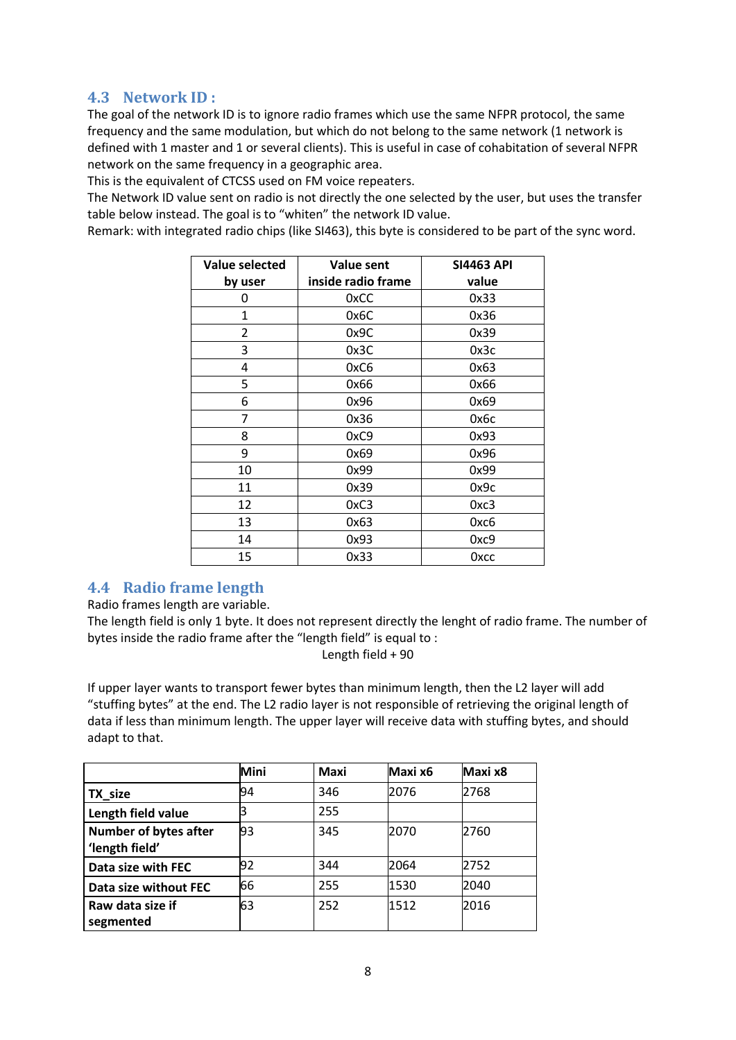# <span id="page-7-0"></span>**4.3 Network ID :**

The goal of the network ID is to ignore radio frames which use the same NFPR protocol, the same frequency and the same modulation, but which do not belong to the same network (1 network is defined with 1 master and 1 or several clients). This is useful in case of cohabitation of several NFPR network on the same frequency in a geographic area.

This is the equivalent of CTCSS used on FM voice repeaters.

The Network ID value sent on radio is not directly the one selected by the user, but uses the transfer table below instead. The goal is to "whiten" the network ID value.

Remark: with integrated radio chips (like SI463), this byte is considered to be part of the sync word.

| Value selected | Value sent         | <b>SI4463 API</b> |
|----------------|--------------------|-------------------|
| by user        | inside radio frame | value             |
| 0              | 0xCC               | 0x33              |
| $\mathbf{1}$   | 0x6C               | 0x36              |
| 2              | 0x9C               | 0x39              |
| 3              | 0x3C               | 0x3c              |
| 4              | 0xC6               | 0x63              |
| 5              | 0x66               | 0x66              |
| 6              | 0x96               | 0x69              |
| 7              | 0x36               | 0х6с              |
| 8              | 0xC9               | 0x93              |
| 9              | 0x69               | 0x96              |
| 10             | 0x99               | 0x99              |
| 11             | 0x39               | 0x9c              |
| 12             | 0xC3               | 0xc3              |
| 13             | 0x63               | 0хс6              |
| 14             | 0x93               | 0xc9              |
| 15             | 0x33               | Охсс              |

# <span id="page-7-1"></span>**4.4 Radio frame length**

Radio frames length are variable.

The length field is only 1 byte. It does not represent directly the lenght of radio frame. The number of bytes inside the radio frame after the "length field" is equal to :

Length field + 90

If upper layer wants to transport fewer bytes than minimum length, then the L2 layer will add "stuffing bytes" at the end. The L2 radio layer is not responsible of retrieving the original length of data if less than minimum length. The upper layer will receive data with stuffing bytes, and should adapt to that.

|                                                | Mini | <b>Maxi</b> | Maxi x6 | Maxi x8 |
|------------------------------------------------|------|-------------|---------|---------|
| TX size                                        | 94   | 346         | 2076    | 2768    |
| Length field value                             | 3    | 255         |         |         |
| <b>Number of bytes after</b><br>'length field' | 93   | 345         | 2070    | 2760    |
| Data size with FEC                             | 92   | 344         | 2064    | 2752    |
| Data size without FEC                          | 66   | 255         | 1530    | 2040    |
| Raw data size if<br>segmented                  | 63   | 252         | 1512    | 2016    |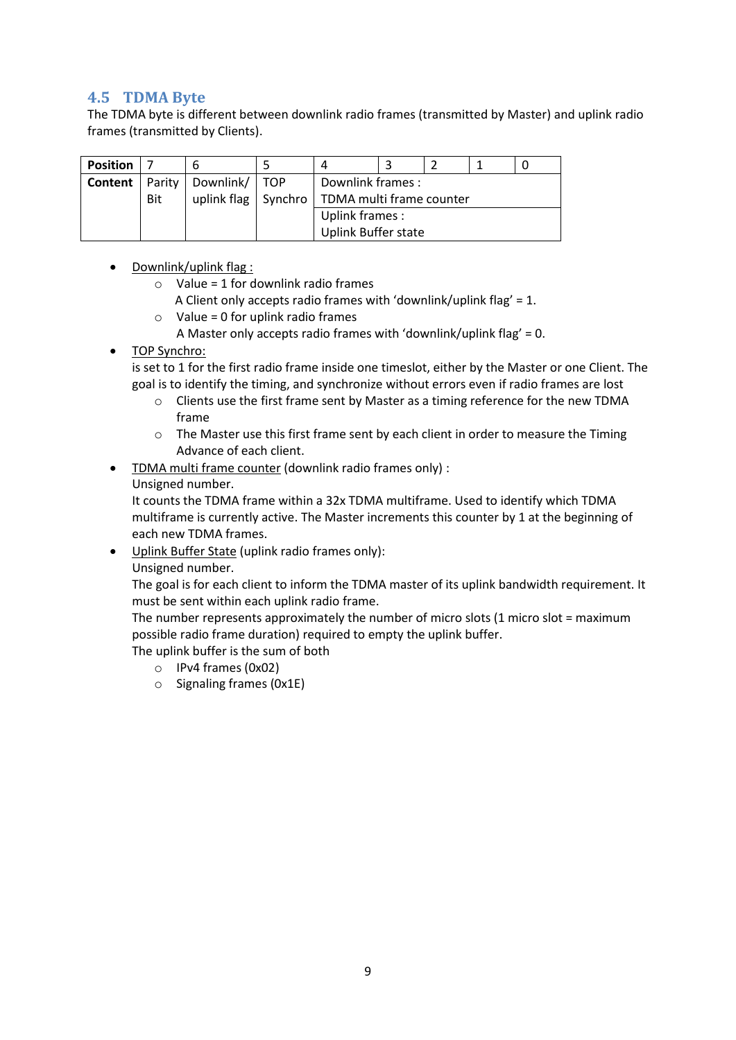### <span id="page-8-0"></span>**4.5 TDMA Byte**

The TDMA byte is different between downlink radio frames (transmitted by Master) and uplink radio frames (transmitted by Clients).

| <b>Position</b> |     |                          |                                                  |  |  |  |  |
|-----------------|-----|--------------------------|--------------------------------------------------|--|--|--|--|
| Content         |     | Parity   Downlink/   TOP | Downlink frames:                                 |  |  |  |  |
|                 | Bit |                          | uplink flag   Synchro   TDMA multi frame counter |  |  |  |  |
|                 |     |                          | Uplink frames:                                   |  |  |  |  |
|                 |     |                          | <b>Uplink Buffer state</b>                       |  |  |  |  |

- Downlink/uplink flag :
	- $\circ$  Value = 1 for downlink radio frames
		- A Client only accepts radio frames with 'downlink/uplink flag' = 1.
	- $\circ$  Value = 0 for uplink radio frames
		- A Master only accepts radio frames with 'downlink/uplink flag' = 0.
- TOP Synchro:

is set to 1 for the first radio frame inside one timeslot, either by the Master or one Client. The goal is to identify the timing, and synchronize without errors even if radio frames are lost

- o Clients use the first frame sent by Master as a timing reference for the new TDMA frame
- $\circ$  The Master use this first frame sent by each client in order to measure the Timing Advance of each client.
- TDMA multi frame counter (downlink radio frames only) :
	- Unsigned number.

It counts the TDMA frame within a 32x TDMA multiframe. Used to identify which TDMA multiframe is currently active. The Master increments this counter by 1 at the beginning of each new TDMA frames.

 Uplink Buffer State (uplink radio frames only): Unsigned number.

The goal is for each client to inform the TDMA master of its uplink bandwidth requirement. It must be sent within each uplink radio frame.

The number represents approximately the number of micro slots (1 micro slot = maximum possible radio frame duration) required to empty the uplink buffer.

- The uplink buffer is the sum of both
	- o IPv4 frames (0x02)
	- o Signaling frames (0x1E)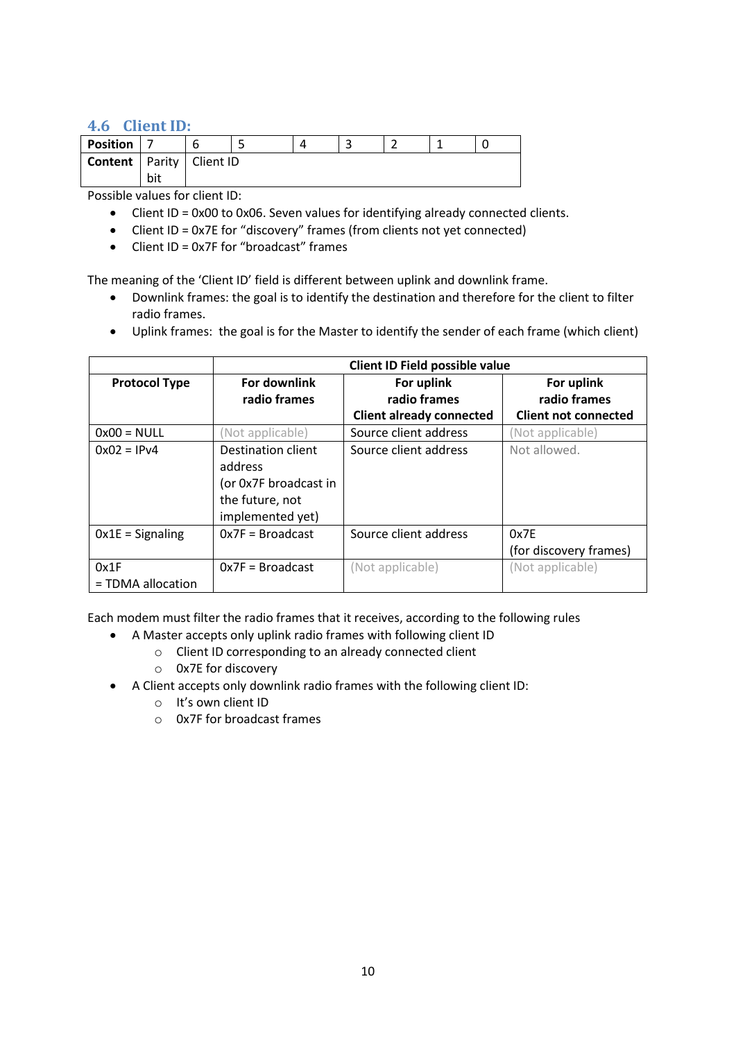#### <span id="page-9-0"></span>**4.6 Client ID:**

| <b>Position</b>                     |     |  |  |  | ∽<br>ے |  |  |  |
|-------------------------------------|-----|--|--|--|--------|--|--|--|
| <b>Content</b>   Parity   Client ID |     |  |  |  |        |  |  |  |
|                                     | bit |  |  |  |        |  |  |  |

Possible values for client ID:

- Client ID = 0x00 to 0x06. Seven values for identifying already connected clients.
- Client ID = 0x7E for "discovery" frames (from clients not yet connected)
- Client ID = 0x7F for "broadcast" frames

The meaning of the 'Client ID' field is different between uplink and downlink frame.

- Downlink frames: the goal is to identify the destination and therefore for the client to filter radio frames.
- Uplink frames: the goal is for the Master to identify the sender of each frame (which client)

|                      |                       | Client ID Field possible value  |                             |
|----------------------|-----------------------|---------------------------------|-----------------------------|
| <b>Protocol Type</b> | <b>For downlink</b>   | For uplink                      | For uplink                  |
|                      | radio frames          | radio frames                    | radio frames                |
|                      |                       | <b>Client already connected</b> | <b>Client not connected</b> |
| $0x00 = NULL$        | (Not applicable)      | Source client address           | (Not applicable)            |
| $0x02 = IPv4$        | Destination client    | Source client address           | Not allowed.                |
|                      | address               |                                 |                             |
|                      | (or 0x7F broadcast in |                                 |                             |
|                      | the future, not       |                                 |                             |
|                      | implemented yet)      |                                 |                             |
| $0x1E =$ Signaling   | $0x7F = Broadcast$    | Source client address           | 0x7E                        |
|                      |                       |                                 | (for discovery frames)      |
| 0x1F                 | $0x7F = Broadcast$    | (Not applicable)                | (Not applicable)            |
| = TDMA allocation    |                       |                                 |                             |

Each modem must filter the radio frames that it receives, according to the following rules

- A Master accepts only uplink radio frames with following client ID
	- o Client ID corresponding to an already connected client
	- o 0x7E for discovery
- A Client accepts only downlink radio frames with the following client ID:
	- o It's own client ID
	- o 0x7F for broadcast frames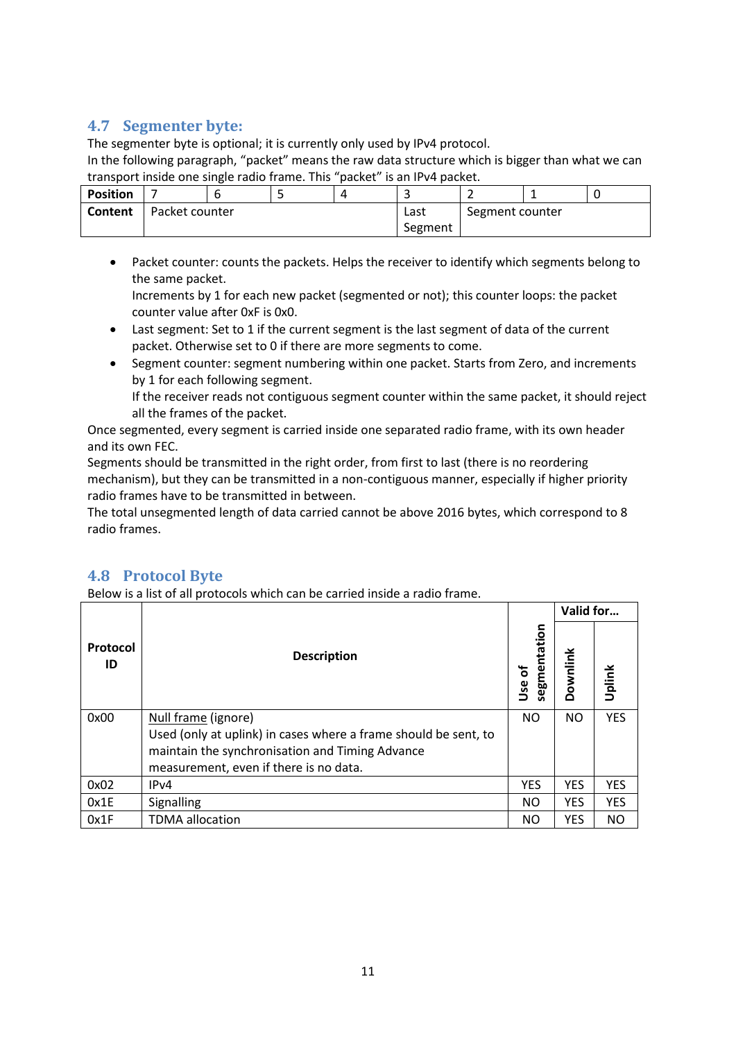### <span id="page-10-0"></span>**4.7 Segmenter byte:**

The segmenter byte is optional; it is currently only used by IPv4 protocol.

In the following paragraph, "packet" means the raw data structure which is bigger than what we can transport inside one single radio frame. This "packet" is an IPv4 packet.

| <b>Position</b> |                |  |  |      | -               |  |  |  |
|-----------------|----------------|--|--|------|-----------------|--|--|--|
| Content         | Packet counter |  |  | Last | Segment counter |  |  |  |
|                 |                |  |  |      | Segment         |  |  |  |

- Packet counter: counts the packets. Helps the receiver to identify which segments belong to the same packet.
	- Increments by 1 for each new packet (segmented or not); this counter loops: the packet counter value after 0xF is 0x0.
- Last segment: Set to 1 if the current segment is the last segment of data of the current packet. Otherwise set to 0 if there are more segments to come.
- Segment counter: segment numbering within one packet. Starts from Zero, and increments by 1 for each following segment.

If the receiver reads not contiguous segment counter within the same packet, it should reject all the frames of the packet.

Once segmented, every segment is carried inside one separated radio frame, with its own header and its own FEC.

Segments should be transmitted in the right order, from first to last (there is no reordering mechanism), but they can be transmitted in a non-contiguous manner, especially if higher priority radio frames have to be transmitted in between.

The total unsegmented length of data carried cannot be above 2016 bytes, which correspond to 8 radio frames.

# <span id="page-10-1"></span>**4.8 Protocol Byte**

Below is a list of all protocols which can be carried inside a radio frame.

|                |                                                                 |                               | Valid for  |            |
|----------------|-----------------------------------------------------------------|-------------------------------|------------|------------|
| Protocol<br>ID | <b>Description</b>                                              | tation<br>segment<br>ቴ<br>Use | Downlink   | Uplink     |
| 0x00           | Null frame (ignore)                                             | <b>NO</b>                     | <b>NO</b>  | <b>YES</b> |
|                | Used (only at uplink) in cases where a frame should be sent, to |                               |            |            |
|                | maintain the synchronisation and Timing Advance                 |                               |            |            |
|                | measurement, even if there is no data.                          |                               |            |            |
| 0x02           | IP <sub>v</sub> 4                                               | <b>YES</b>                    | <b>YES</b> | <b>YES</b> |
| 0x1E           | Signalling                                                      | NO                            | <b>YES</b> | <b>YES</b> |
| 0x1F           | <b>TDMA</b> allocation                                          | NO                            | <b>YES</b> | <b>NO</b>  |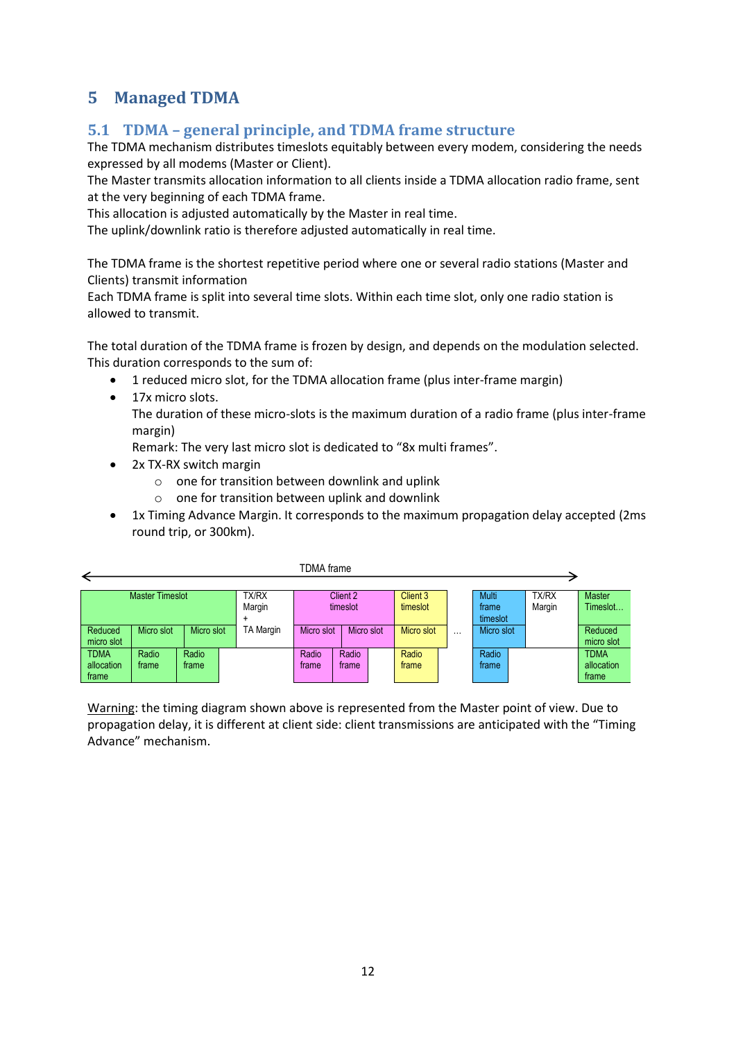# <span id="page-11-0"></span>**5 Managed TDMA**

### <span id="page-11-1"></span>**5.1 TDMA – general principle, and TDMA frame structure**

The TDMA mechanism distributes timeslots equitably between every modem, considering the needs expressed by all modems (Master or Client).

The Master transmits allocation information to all clients inside a TDMA allocation radio frame, sent at the very beginning of each TDMA frame.

This allocation is adjusted automatically by the Master in real time.

The uplink/downlink ratio is therefore adjusted automatically in real time.

The TDMA frame is the shortest repetitive period where one or several radio stations (Master and Clients) transmit information

Each TDMA frame is split into several time slots. Within each time slot, only one radio station is allowed to transmit.

The total duration of the TDMA frame is frozen by design, and depends on the modulation selected. This duration corresponds to the sum of:

- 1 reduced micro slot, for the TDMA allocation frame (plus inter-frame margin)
- 17x micro slots.

The duration of these micro-slots is the maximum duration of a radio frame (plus inter-frame margin)

Remark: The very last micro slot is dedicated to "8x multi frames".

- 2x TX-RX switch margin
	- o one for transition between downlink and uplink
	- o one for transition between uplink and downlink
- 1x Timing Advance Margin. It corresponds to the maximum propagation delay accepted (2ms round trip, or 300km).



Warning: the timing diagram shown above is represented from the Master point of view. Due to propagation delay, it is different at client side: client transmissions are anticipated with the "Timing Advance" mechanism.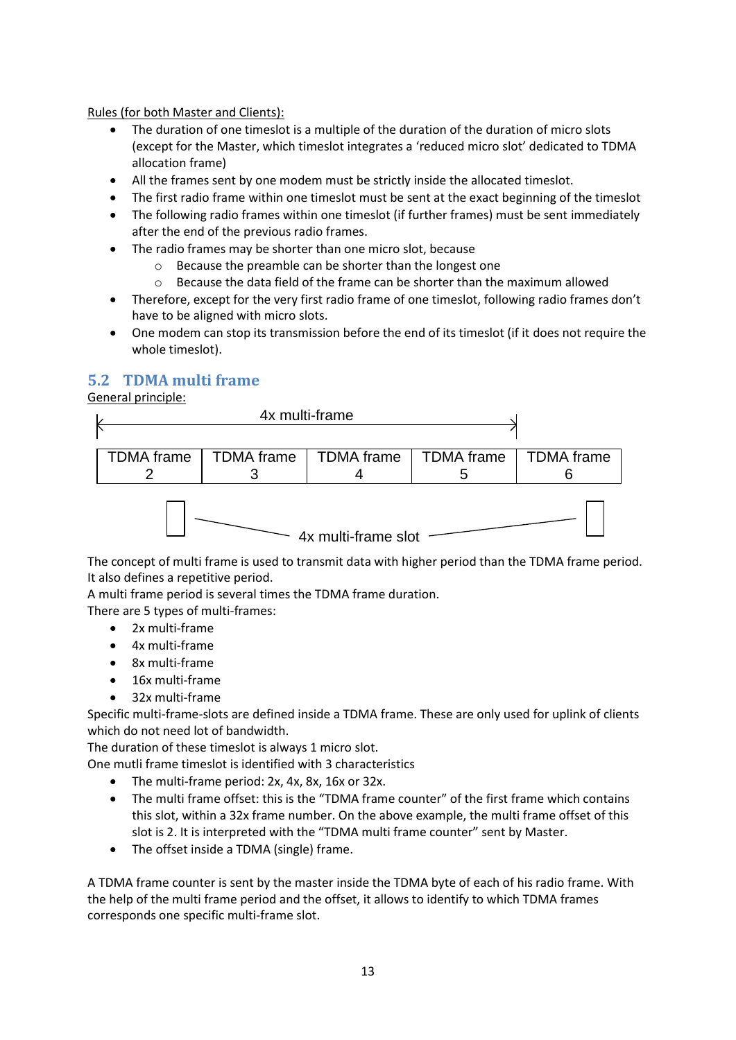Rules (for both Master and Clients):

- The duration of one timeslot is a multiple of the duration of the duration of micro slots (except for the Master, which timeslot integrates a 'reduced micro slot' dedicated to TDMA allocation frame)
- All the frames sent by one modem must be strictly inside the allocated timeslot.
- The first radio frame within one timeslot must be sent at the exact beginning of the timeslot
- The following radio frames within one timeslot (if further frames) must be sent immediately after the end of the previous radio frames.
- The radio frames may be shorter than one micro slot, because
	- o Because the preamble can be shorter than the longest one
	- $\circ$  Because the data field of the frame can be shorter than the maximum allowed
- Therefore, except for the very first radio frame of one timeslot, following radio frames don't have to be aligned with micro slots.
- One modem can stop its transmission before the end of its timeslot (if it does not require the whole timeslot).

# <span id="page-12-0"></span>**5.2 TDMA multi frame**

General principle:



The concept of multi frame is used to transmit data with higher period than the TDMA frame period. It also defines a repetitive period.

A multi frame period is several times the TDMA frame duration.

There are 5 types of multi-frames:

- 2x multi-frame
- 4x multi-frame
- 8x multi-frame
- 16x multi-frame
- 32x multi-frame

Specific multi-frame-slots are defined inside a TDMA frame. These are only used for uplink of clients which do not need lot of bandwidth.

The duration of these timeslot is always 1 micro slot.

One mutli frame timeslot is identified with 3 characteristics

- The multi-frame period: 2x, 4x, 8x, 16x or 32x.
- The multi frame offset: this is the "TDMA frame counter" of the first frame which contains this slot, within a 32x frame number. On the above example, the multi frame offset of this slot is 2. It is interpreted with the "TDMA multi frame counter" sent by Master.
- The offset inside a TDMA (single) frame.

A TDMA frame counter is sent by the master inside the TDMA byte of each of his radio frame. With the help of the multi frame period and the offset, it allows to identify to which TDMA frames corresponds one specific multi-frame slot.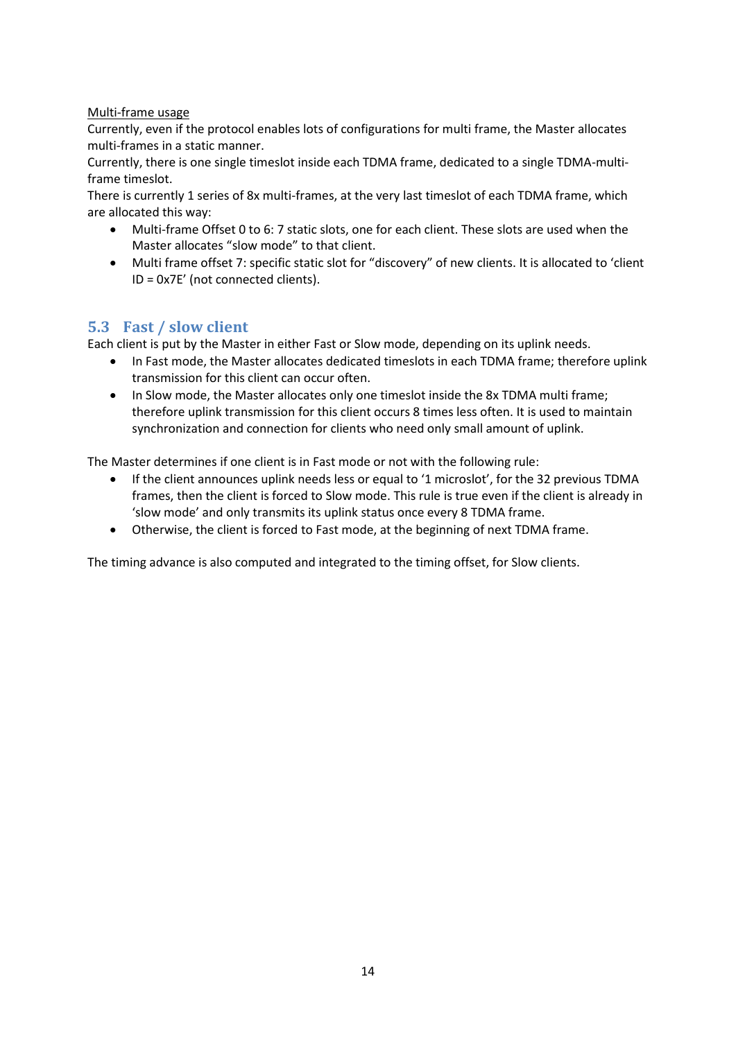#### Multi-frame usage

Currently, even if the protocol enables lots of configurations for multi frame, the Master allocates multi-frames in a static manner.

Currently, there is one single timeslot inside each TDMA frame, dedicated to a single TDMA-multiframe timeslot.

There is currently 1 series of 8x multi-frames, at the very last timeslot of each TDMA frame, which are allocated this way:

- Multi-frame Offset 0 to 6: 7 static slots, one for each client. These slots are used when the Master allocates "slow mode" to that client.
- Multi frame offset 7: specific static slot for "discovery" of new clients. It is allocated to 'client ID = 0x7E' (not connected clients).

#### <span id="page-13-0"></span>**5.3 Fast / slow client**

Each client is put by the Master in either Fast or Slow mode, depending on its uplink needs.

- In Fast mode, the Master allocates dedicated timeslots in each TDMA frame; therefore uplink transmission for this client can occur often.
- In Slow mode, the Master allocates only one timeslot inside the 8x TDMA multi frame; therefore uplink transmission for this client occurs 8 times less often. It is used to maintain synchronization and connection for clients who need only small amount of uplink.

The Master determines if one client is in Fast mode or not with the following rule:

- If the client announces uplink needs less or equal to '1 microslot', for the 32 previous TDMA frames, then the client is forced to Slow mode. This rule is true even if the client is already in 'slow mode' and only transmits its uplink status once every 8 TDMA frame.
- Otherwise, the client is forced to Fast mode, at the beginning of next TDMA frame.

The timing advance is also computed and integrated to the timing offset, for Slow clients.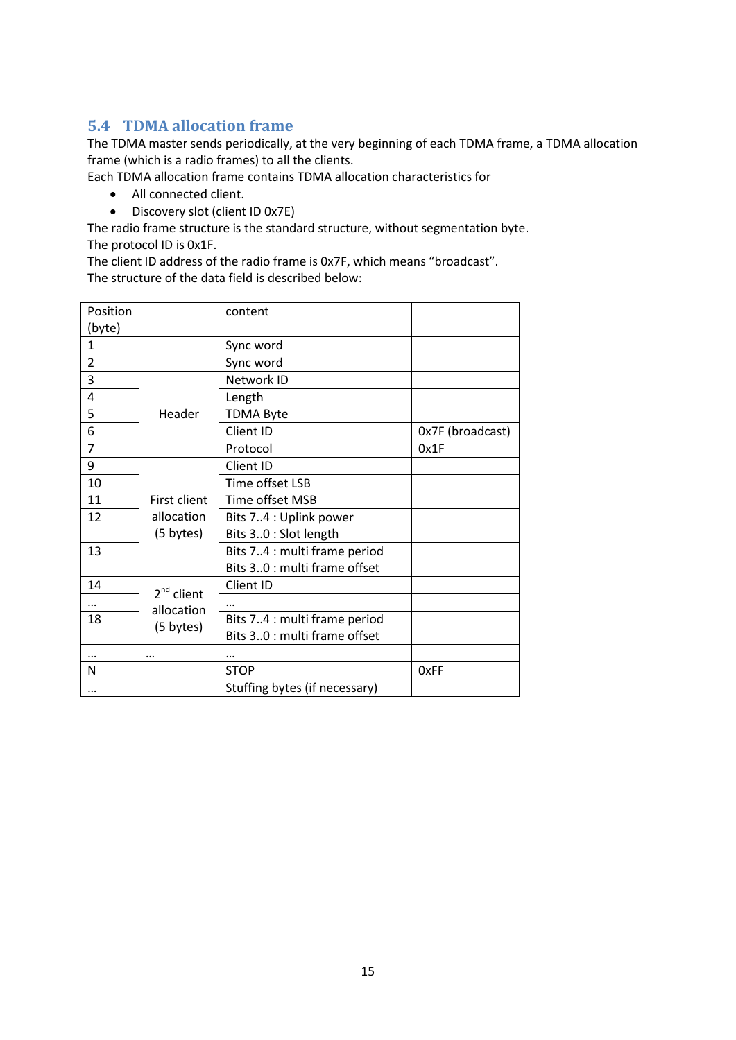# <span id="page-14-0"></span>**5.4 TDMA allocation frame**

The TDMA master sends periodically, at the very beginning of each TDMA frame, a TDMA allocation frame (which is a radio frames) to all the clients.

Each TDMA allocation frame contains TDMA allocation characteristics for

- All connected client.
- Discovery slot (client ID 0x7E)

The radio frame structure is the standard structure, without segmentation byte. The protocol ID is 0x1F.

The client ID address of the radio frame is 0x7F, which means "broadcast". The structure of the data field is described below:

|                     | content                                 |                  |
|---------------------|-----------------------------------------|------------------|
|                     |                                         |                  |
|                     | Sync word                               |                  |
|                     | Sync word                               |                  |
|                     | Network ID                              |                  |
|                     | Length                                  |                  |
| Header              | <b>TDMA Byte</b>                        |                  |
|                     | Client ID                               | Ox7F (broadcast) |
|                     | Protocol                                | 0x1F             |
|                     | Client ID                               |                  |
|                     | Time offset LSB                         |                  |
| <b>First client</b> | Time offset MSB                         |                  |
| allocation          | Bits 74 : Uplink power                  |                  |
| (5 bytes)           | Bits 30 : Slot length                   |                  |
|                     | Bits 74 : multi frame period            |                  |
|                     | Bits 30 : multi frame offset            |                  |
|                     | Client ID                               |                  |
|                     |                                         |                  |
|                     | Bits 74 : multi frame period            |                  |
|                     | Bits 30 : multi frame offset            |                  |
|                     | $\cdots$                                |                  |
|                     | <b>STOP</b>                             | 0xFF             |
|                     | Stuffing bytes (if necessary)           |                  |
|                     | $2nd$ client<br>allocation<br>(5 bytes) |                  |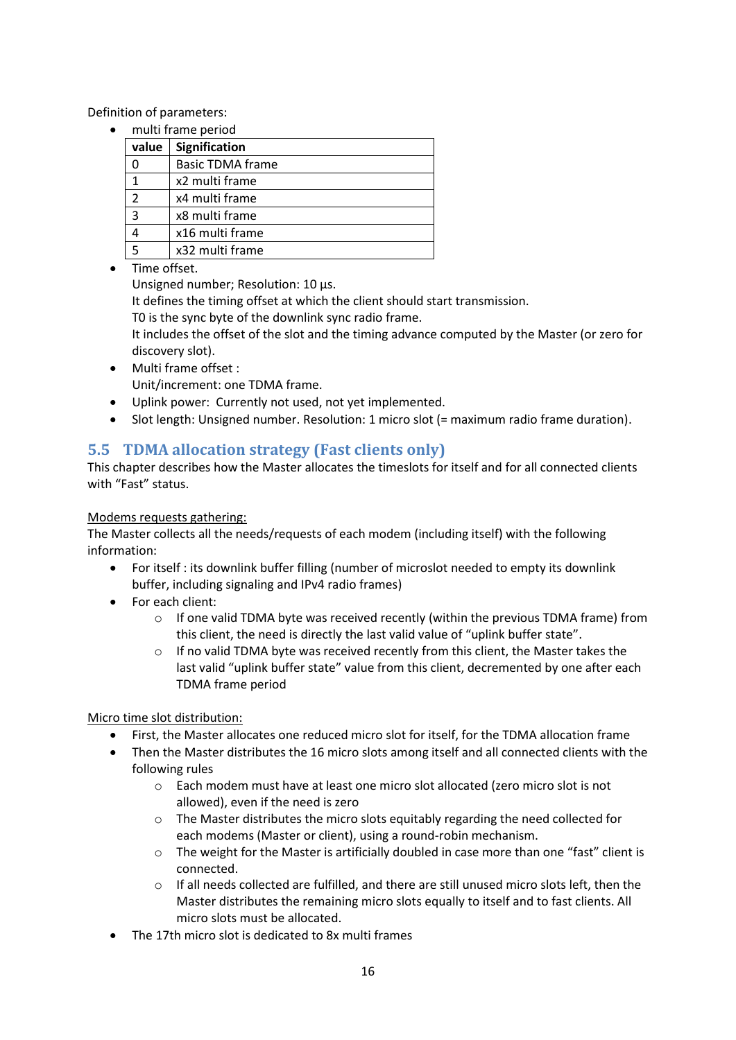Definition of parameters:

multi frame period

| value          | Signification           |  |  |  |  |
|----------------|-------------------------|--|--|--|--|
|                | <b>Basic TDMA frame</b> |  |  |  |  |
|                | x2 multi frame          |  |  |  |  |
| $\mathcal{P}$  | x4 multi frame          |  |  |  |  |
| $\overline{3}$ | x8 multi frame          |  |  |  |  |
|                | x16 multi frame         |  |  |  |  |
| .5             | x32 multi frame         |  |  |  |  |

**•** Time offset

Unsigned number; Resolution: 10 µs.

It defines the timing offset at which the client should start transmission.

T0 is the sync byte of the downlink sync radio frame.

It includes the offset of the slot and the timing advance computed by the Master (or zero for discovery slot).

- Multi frame offset : Unit/increment: one TDMA frame.
- Uplink power: Currently not used, not yet implemented.
- Slot length: Unsigned number. Resolution: 1 micro slot (= maximum radio frame duration).

# <span id="page-15-0"></span>**5.5 TDMA allocation strategy (Fast clients only)**

This chapter describes how the Master allocates the timeslots for itself and for all connected clients with "Fast" status.

#### Modems requests gathering:

The Master collects all the needs/requests of each modem (including itself) with the following information:

- For itself : its downlink buffer filling (number of microslot needed to empty its downlink buffer, including signaling and IPv4 radio frames)
- For each client:
	- o If one valid TDMA byte was received recently (within the previous TDMA frame) from this client, the need is directly the last valid value of "uplink buffer state".
	- $\circ$  If no valid TDMA byte was received recently from this client, the Master takes the last valid "uplink buffer state" value from this client, decremented by one after each TDMA frame period

Micro time slot distribution:

- First, the Master allocates one reduced micro slot for itself, for the TDMA allocation frame
- Then the Master distributes the 16 micro slots among itself and all connected clients with the following rules
	- o Each modem must have at least one micro slot allocated (zero micro slot is not allowed), even if the need is zero
	- $\circ$  The Master distributes the micro slots equitably regarding the need collected for each modems (Master or client), using a round-robin mechanism.
	- $\circ$  The weight for the Master is artificially doubled in case more than one "fast" client is connected.
	- $\circ$  If all needs collected are fulfilled, and there are still unused micro slots left, then the Master distributes the remaining micro slots equally to itself and to fast clients. All micro slots must be allocated.
- The 17th micro slot is dedicated to 8x multi frames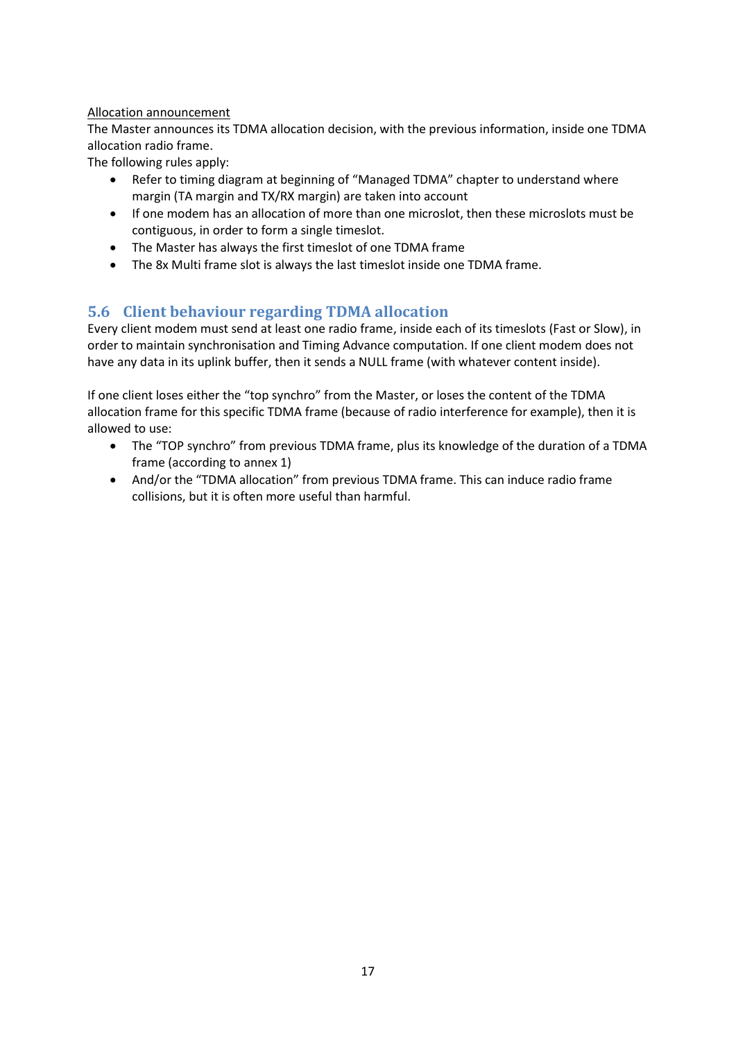#### Allocation announcement

The Master announces its TDMA allocation decision, with the previous information, inside one TDMA allocation radio frame.

The following rules apply:

- Refer to timing diagram at beginning of "Managed TDMA" chapter to understand where margin (TA margin and TX/RX margin) are taken into account
- If one modem has an allocation of more than one microslot, then these microslots must be contiguous, in order to form a single timeslot.
- The Master has always the first timeslot of one TDMA frame
- The 8x Multi frame slot is always the last timeslot inside one TDMA frame.

# <span id="page-16-0"></span>**5.6 Client behaviour regarding TDMA allocation**

Every client modem must send at least one radio frame, inside each of its timeslots (Fast or Slow), in order to maintain synchronisation and Timing Advance computation. If one client modem does not have any data in its uplink buffer, then it sends a NULL frame (with whatever content inside).

If one client loses either the "top synchro" from the Master, or loses the content of the TDMA allocation frame for this specific TDMA frame (because of radio interference for example), then it is allowed to use:

- The "TOP synchro" from previous TDMA frame, plus its knowledge of the duration of a TDMA frame (according to annex 1)
- And/or the "TDMA allocation" from previous TDMA frame. This can induce radio frame collisions, but it is often more useful than harmful.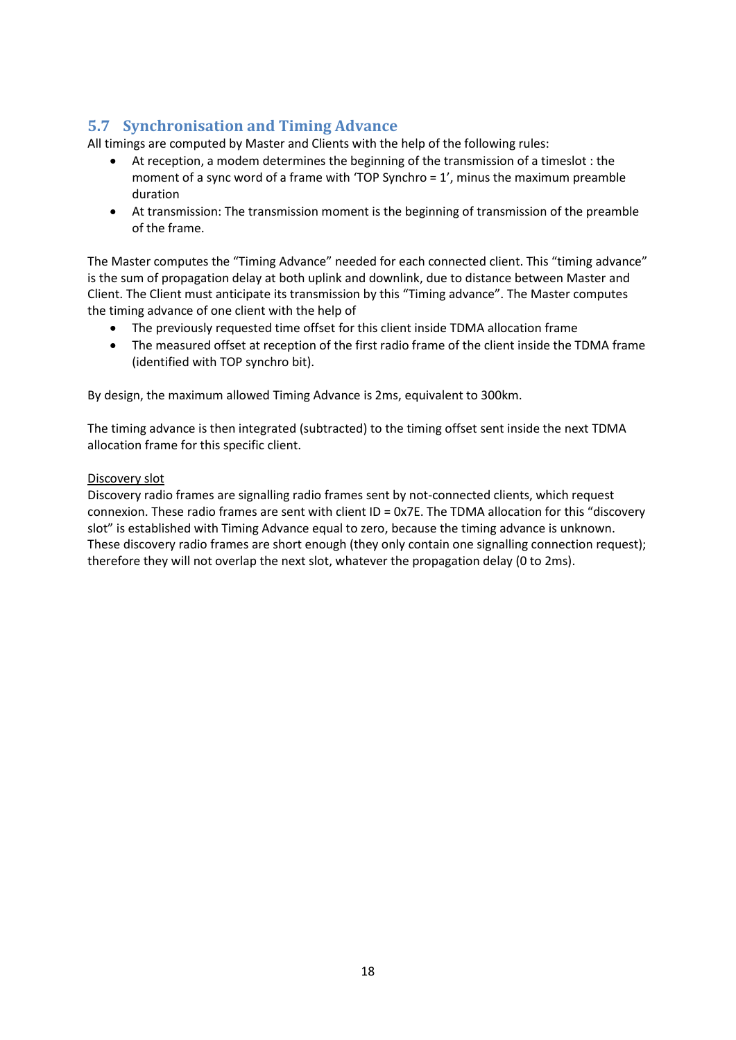# <span id="page-17-0"></span>**5.7 Synchronisation and Timing Advance**

All timings are computed by Master and Clients with the help of the following rules:

- At reception, a modem determines the beginning of the transmission of a timeslot : the moment of a sync word of a frame with 'TOP Synchro = 1', minus the maximum preamble duration
- At transmission: The transmission moment is the beginning of transmission of the preamble of the frame.

The Master computes the "Timing Advance" needed for each connected client. This "timing advance" is the sum of propagation delay at both uplink and downlink, due to distance between Master and Client. The Client must anticipate its transmission by this "Timing advance". The Master computes the timing advance of one client with the help of

- The previously requested time offset for this client inside TDMA allocation frame
- The measured offset at reception of the first radio frame of the client inside the TDMA frame (identified with TOP synchro bit).

By design, the maximum allowed Timing Advance is 2ms, equivalent to 300km.

The timing advance is then integrated (subtracted) to the timing offset sent inside the next TDMA allocation frame for this specific client.

#### Discovery slot

Discovery radio frames are signalling radio frames sent by not-connected clients, which request connexion. These radio frames are sent with client ID = 0x7E. The TDMA allocation for this "discovery slot" is established with Timing Advance equal to zero, because the timing advance is unknown. These discovery radio frames are short enough (they only contain one signalling connection request); therefore they will not overlap the next slot, whatever the propagation delay (0 to 2ms).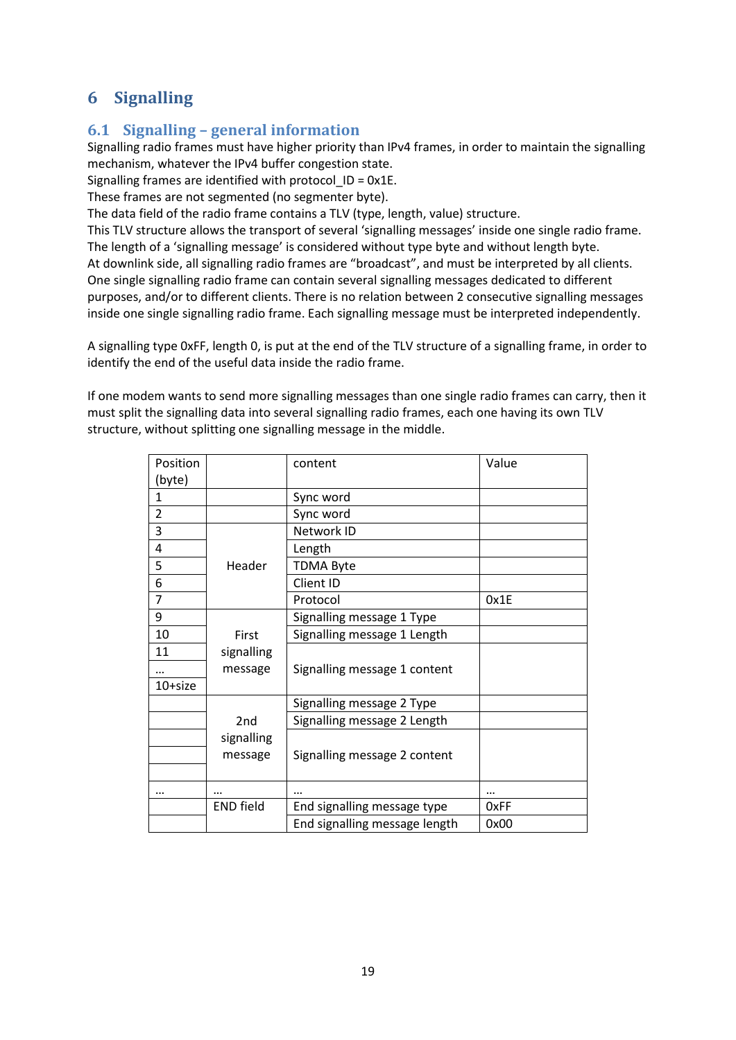# <span id="page-18-0"></span>**6 Signalling**

# <span id="page-18-1"></span>**6.1 Signalling – general information**

Signalling radio frames must have higher priority than IPv4 frames, in order to maintain the signalling mechanism, whatever the IPv4 buffer congestion state.

Signalling frames are identified with protocol\_ID = 0x1E.

These frames are not segmented (no segmenter byte).

The data field of the radio frame contains a TLV (type, length, value) structure.

This TLV structure allows the transport of several 'signalling messages' inside one single radio frame. The length of a 'signalling message' is considered without type byte and without length byte. At downlink side, all signalling radio frames are "broadcast", and must be interpreted by all clients. One single signalling radio frame can contain several signalling messages dedicated to different purposes, and/or to different clients. There is no relation between 2 consecutive signalling messages inside one single signalling radio frame. Each signalling message must be interpreted independently.

A signalling type 0xFF, length 0, is put at the end of the TLV structure of a signalling frame, in order to identify the end of the useful data inside the radio frame.

If one modem wants to send more signalling messages than one single radio frames can carry, then it must split the signalling data into several signalling radio frames, each one having its own TLV structure, without splitting one signalling message in the middle.

| Position       |                  | content                       | Value |
|----------------|------------------|-------------------------------|-------|
| (byte)         |                  |                               |       |
| $\mathbf{1}$   |                  | Sync word                     |       |
| $\overline{2}$ |                  | Sync word                     |       |
| 3              |                  | Network ID                    |       |
| 4              |                  | Length                        |       |
| 5              | Header           | <b>TDMA Byte</b>              |       |
| 6              |                  | Client ID                     |       |
| $\overline{7}$ |                  | Protocol                      | 0x1E  |
| 9              |                  | Signalling message 1 Type     |       |
| 10             | First            | Signalling message 1 Length   |       |
| 11             | signalling       |                               |       |
|                | message          | Signalling message 1 content  |       |
| 10+size        |                  |                               |       |
|                |                  | Signalling message 2 Type     |       |
|                | 2 <sub>nd</sub>  | Signalling message 2 Length   |       |
|                | signalling       |                               |       |
|                | message          | Signalling message 2 content  |       |
|                |                  |                               |       |
|                | $\cdots$         |                               |       |
|                | <b>END field</b> | End signalling message type   | 0xFF  |
|                |                  | End signalling message length | 0x00  |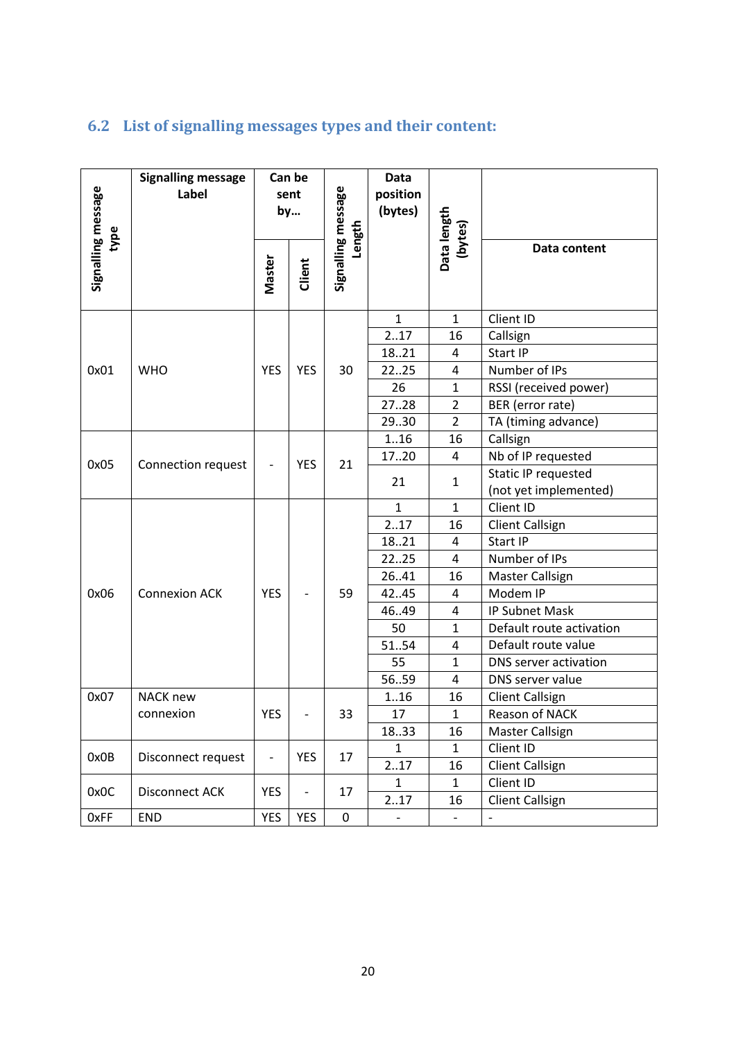# <span id="page-19-0"></span>**6.2 List of signalling messages types and their content:**

| Signalling message<br>type | <b>Signalling message</b><br>Label | Can be<br>sent<br>by |            | Signalling message<br>Length | <b>Data</b><br>position<br>(bytes) | Data length      |                                                     |
|----------------------------|------------------------------------|----------------------|------------|------------------------------|------------------------------------|------------------|-----------------------------------------------------|
|                            |                                    | Master               | Client     |                              |                                    | (bytes)          | Data content                                        |
|                            |                                    |                      |            |                              | $\mathbf{1}$                       | $\mathbf{1}$     | Client ID                                           |
|                            |                                    |                      |            |                              | 217                                | 16               | Callsign                                            |
|                            |                                    |                      |            |                              | 1821                               | 4                | Start IP                                            |
| 0x01                       | <b>WHO</b>                         | <b>YES</b>           | <b>YES</b> | 30                           | 2225                               | 4                | Number of IPs                                       |
|                            |                                    |                      |            |                              | 26                                 | $\mathbf{1}$     | RSSI (received power)                               |
|                            |                                    |                      |            | 2728                         | $\overline{2}$                     | BER (error rate) |                                                     |
|                            |                                    |                      |            |                              | 2930                               | $\overline{2}$   | TA (timing advance)                                 |
|                            |                                    |                      |            |                              | 1.16                               | 16               | Callsign                                            |
| 0x05                       | Connection request                 |                      | <b>YES</b> | 21                           | 1720                               | 4                | Nb of IP requested                                  |
|                            |                                    |                      |            |                              | 21                                 | $\mathbf{1}$     | <b>Static IP requested</b><br>(not yet implemented) |
|                            |                                    |                      |            |                              | $\mathbf 1$                        | $\mathbf{1}$     | Client ID                                           |
|                            |                                    |                      |            |                              | 217                                | 16               | <b>Client Callsign</b>                              |
|                            |                                    |                      |            |                              | 1821                               | 4                | Start IP                                            |
|                            |                                    |                      |            |                              | 2225                               | 4                | Number of IPs                                       |
|                            |                                    |                      |            |                              | 26.41                              | 16               | Master Callsign                                     |
| 0x06                       | <b>Connexion ACK</b>               | <b>YES</b>           |            | 59                           | 42.45                              | $\overline{4}$   | Modem IP                                            |
|                            |                                    |                      |            |                              | 46.49                              | 4                | <b>IP Subnet Mask</b>                               |
|                            |                                    |                      |            |                              | 50                                 | $\mathbf{1}$     | Default route activation                            |
|                            |                                    |                      |            |                              | 5154                               | 4                | Default route value                                 |
|                            |                                    |                      |            |                              | 55                                 | $\mathbf{1}$     | DNS server activation                               |
|                            |                                    |                      |            |                              | 5659                               | 4                | DNS server value                                    |
| 0x07                       | <b>NACK new</b>                    |                      |            |                              | 1.16                               | 16               | <b>Client Callsign</b>                              |
|                            | connexion                          | <b>YES</b>           |            | 33                           | 17                                 | $\mathbf{1}$     | Reason of NACK                                      |
|                            |                                    |                      |            |                              | 1833                               | 16               | <b>Master Callsign</b>                              |
| 0x0B                       | Disconnect request                 |                      | <b>YES</b> | 17                           | $\mathbf{1}$                       | $\mathbf{1}$     | Client ID                                           |
|                            |                                    |                      |            |                              | 217                                | 16               | <b>Client Callsign</b>                              |
| 0x0C                       | Disconnect ACK                     | <b>YES</b>           |            | 17                           | $\mathbf{1}$                       | $\mathbf{1}$     | Client ID                                           |
|                            |                                    |                      |            |                              | 217                                | 16               | <b>Client Callsign</b>                              |
| 0xFF                       | END                                | <b>YES</b>           | YES        | $\pmb{0}$                    |                                    |                  |                                                     |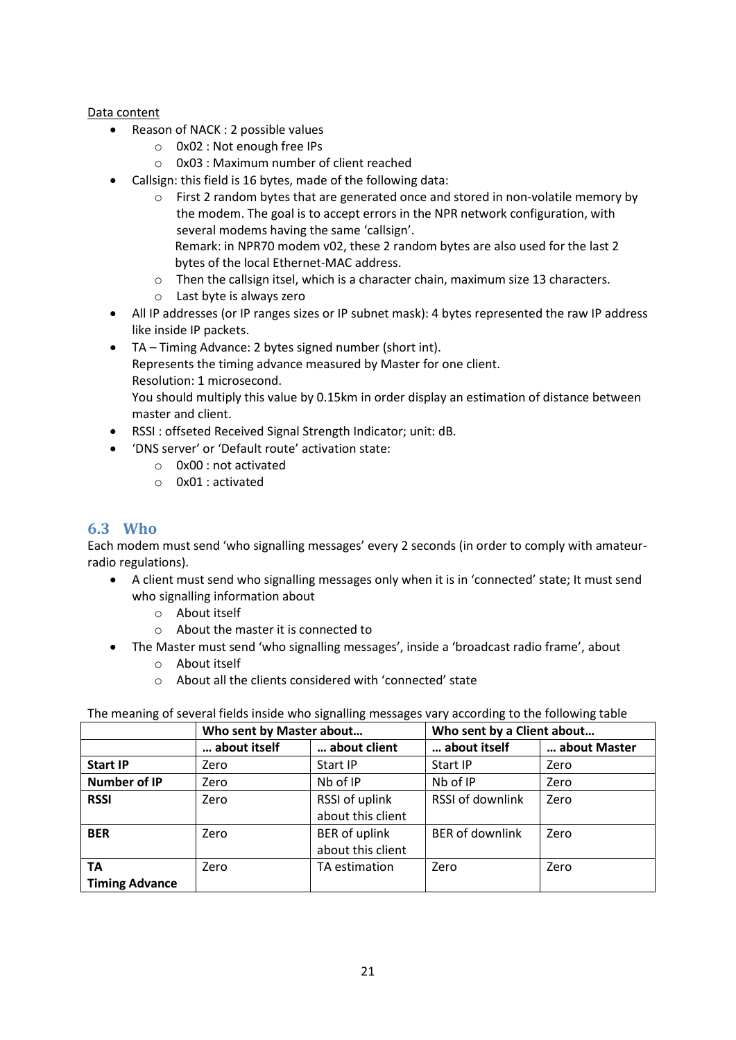#### Data content

- Reason of NACK : 2 possible values
	- o 0x02 : Not enough free IPs
	- o 0x03 : Maximum number of client reached
- Callsign: this field is 16 bytes, made of the following data:
	- $\circ$  First 2 random bytes that are generated once and stored in non-volatile memory by the modem. The goal is to accept errors in the NPR network configuration, with several modems having the same 'callsign'. Remark: in NPR70 modem v02, these 2 random bytes are also used for the last 2 bytes of the local Ethernet-MAC address.
	- $\circ$  Then the callsign itsel, which is a character chain, maximum size 13 characters.
	- o Last byte is always zero
- All IP addresses (or IP ranges sizes or IP subnet mask): 4 bytes represented the raw IP address like inside IP packets.
- TA Timing Advance: 2 bytes signed number (short int). Represents the timing advance measured by Master for one client. Resolution: 1 microsecond. You should multiply this value by 0.15km in order display an estimation of distance between master and client.
- RSSI : offseted Received Signal Strength Indicator; unit: dB.
- 'DNS server' or 'Default route' activation state:
	- o 0x00 : not activated
	- o 0x01 : activated

#### <span id="page-20-0"></span>**6.3 Who**

Each modem must send 'who signalling messages' every 2 seconds (in order to comply with amateurradio regulations).

- A client must send who signalling messages only when it is in 'connected' state; It must send who signalling information about
	- o About itself
	- o About the master it is connected to
- The Master must send 'who signalling messages', inside a 'broadcast radio frame', about
	- o About itself
	- o About all the clients considered with 'connected' state

The meaning of several fields inside who signalling messages vary according to the following table

|                       | Who sent by Master about |                      | Who sent by a Client about |              |  |  |
|-----------------------|--------------------------|----------------------|----------------------------|--------------|--|--|
|                       | about itself             | about client         | about itself               | about Master |  |  |
| <b>Start IP</b>       | Zero                     | Start IP             | <b>Start IP</b>            | Zero         |  |  |
| <b>Number of IP</b>   | Zero                     | Nb of IP             | Nb of IP                   | Zero         |  |  |
| <b>RSSI</b>           | Zero                     | RSSI of uplink       | RSSI of downlink           | Zero         |  |  |
|                       |                          | about this client    |                            |              |  |  |
| <b>BER</b>            | Zero                     | <b>BER</b> of uplink | <b>BER of downlink</b>     | Zero         |  |  |
|                       |                          | about this client    |                            |              |  |  |
| TA                    | Zero                     | TA estimation        | Zero                       | Zero         |  |  |
| <b>Timing Advance</b> |                          |                      |                            |              |  |  |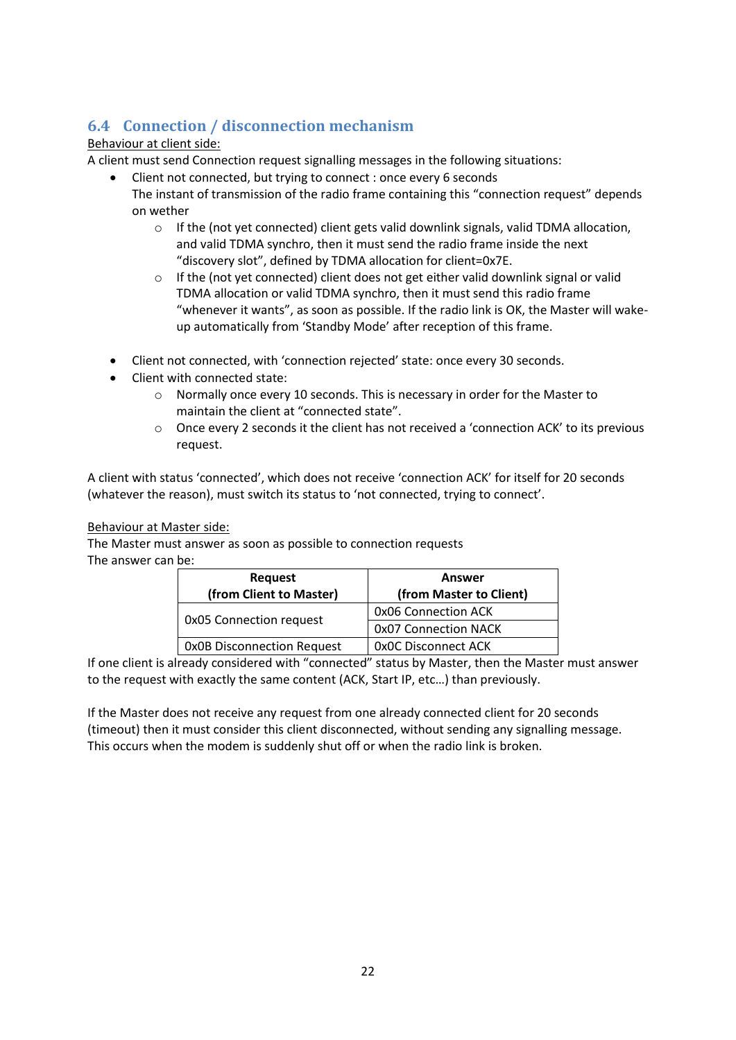# <span id="page-21-0"></span>**6.4 Connection / disconnection mechanism**

#### Behaviour at client side:

A client must send Connection request signalling messages in the following situations:

- Client not connected, but trying to connect : once every 6 seconds The instant of transmission of the radio frame containing this "connection request" depends on wether
	- $\circ$  If the (not yet connected) client gets valid downlink signals, valid TDMA allocation, and valid TDMA synchro, then it must send the radio frame inside the next "discovery slot", defined by TDMA allocation for client=0x7E.
	- $\circ$  If the (not yet connected) client does not get either valid downlink signal or valid TDMA allocation or valid TDMA synchro, then it must send this radio frame "whenever it wants", as soon as possible. If the radio link is OK, the Master will wakeup automatically from 'Standby Mode' after reception of this frame.
- Client not connected, with 'connection rejected' state: once every 30 seconds.
- Client with connected state:
	- o Normally once every 10 seconds. This is necessary in order for the Master to maintain the client at "connected state".
	- o Once every 2 seconds it the client has not received a 'connection ACK' to its previous request.

A client with status 'connected', which does not receive 'connection ACK' for itself for 20 seconds (whatever the reason), must switch its status to 'not connected, trying to connect'.

#### Behaviour at Master side:

The Master must answer as soon as possible to connection requests

The answer can be:

| Request                           | Answer                     |
|-----------------------------------|----------------------------|
| (from Client to Master)           | (from Master to Client)    |
|                                   | 0x06 Connection ACK        |
| <b>OxO5</b> Connection request    | 0x07 Connection NACK       |
| <b>OxOB Disconnection Request</b> | <b>OxOC Disconnect ACK</b> |

If one client is already considered with "connected" status by Master, then the Master must answer to the request with exactly the same content (ACK, Start IP, etc…) than previously.

If the Master does not receive any request from one already connected client for 20 seconds (timeout) then it must consider this client disconnected, without sending any signalling message. This occurs when the modem is suddenly shut off or when the radio link is broken.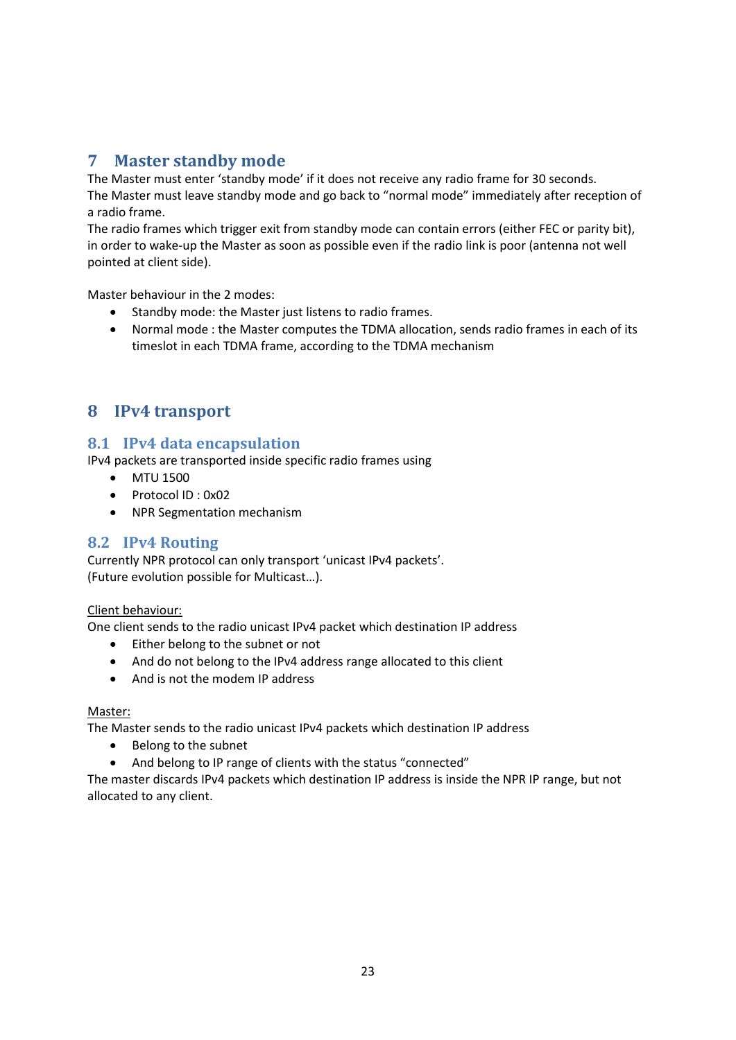# <span id="page-22-0"></span>**7 Master standby mode**

The Master must enter 'standby mode' if it does not receive any radio frame for 30 seconds. The Master must leave standby mode and go back to "normal mode" immediately after reception of a radio frame.

The radio frames which trigger exit from standby mode can contain errors (either FEC or parity bit), in order to wake-up the Master as soon as possible even if the radio link is poor (antenna not well pointed at client side).

Master behaviour in the 2 modes:

- Standby mode: the Master just listens to radio frames.
- Normal mode : the Master computes the TDMA allocation, sends radio frames in each of its timeslot in each TDMA frame, according to the TDMA mechanism

# <span id="page-22-1"></span>**8 IPv4 transport**

#### <span id="page-22-2"></span>**8.1 IPv4 data encapsulation**

IPv4 packets are transported inside specific radio frames using

- MTU 1500
- Protocol ID: 0x02
- NPR Segmentation mechanism

#### <span id="page-22-3"></span>**8.2 IPv4 Routing**

Currently NPR protocol can only transport 'unicast IPv4 packets'. (Future evolution possible for Multicast…).

#### Client behaviour:

One client sends to the radio unicast IPv4 packet which destination IP address

- Either belong to the subnet or not
- And do not belong to the IPv4 address range allocated to this client
- And is not the modem IP address

#### Master:

The Master sends to the radio unicast IPv4 packets which destination IP address

- Belong to the subnet
- And belong to IP range of clients with the status "connected"

The master discards IPv4 packets which destination IP address is inside the NPR IP range, but not allocated to any client.